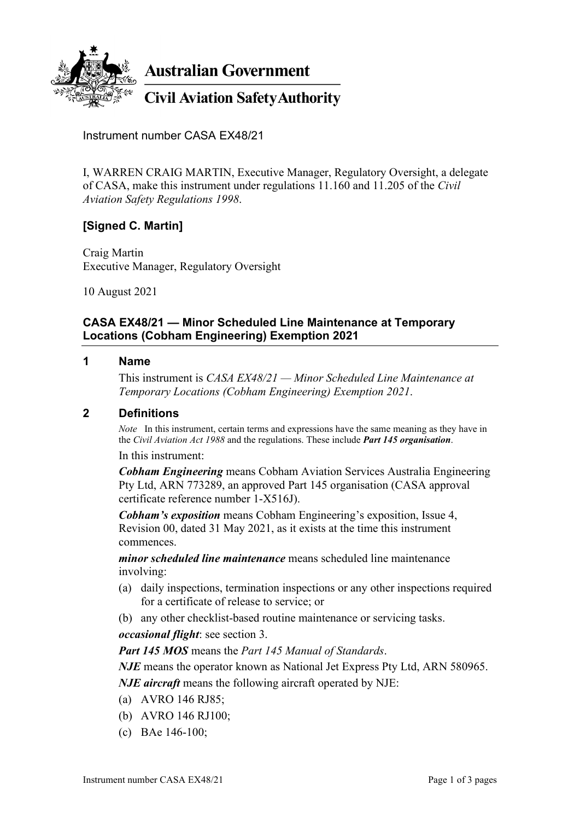

**Australian Government** 

**Civil Aviation Safety Authority** 

Instrument number CASA EX48/21

I, WARREN CRAIG MARTIN, Executive Manager, Regulatory Oversight, a delegate of CASA, make this instrument under regulations 11.160 and 11.205 of the *Civil Aviation Safety Regulations 1998*.

# **[Signed C. Martin]**

Craig Martin Executive Manager, Regulatory Oversight

10 August 2021

## **CASA EX48/21 — Minor Scheduled Line Maintenance at Temporary Locations (Cobham Engineering) Exemption 2021**

#### **1 Name**

This instrument is *CASA EX48/21 — Minor Scheduled Line Maintenance at Temporary Locations (Cobham Engineering) Exemption 2021*.

### **2 Definitions**

*Note* In this instrument, certain terms and expressions have the same meaning as they have in the *Civil Aviation Act 1988* and the regulations. These include *Part 145 organisation*.

In this instrument:

*Cobham Engineering* means Cobham Aviation Services Australia Engineering Pty Ltd, ARN 773289, an approved Part 145 organisation (CASA approval certificate reference number 1-X516J).

*Cobham's exposition* means Cobham Engineering's exposition, Issue 4, Revision 00, dated 31 May 2021, as it exists at the time this instrument commences.

*minor scheduled line maintenance* means scheduled line maintenance involving:

- (a) daily inspections, termination inspections or any other inspections required for a certificate of release to service; or
- (b) any other checklist-based routine maintenance or servicing tasks.

*occasional flight*: see section 3.

*Part 145 MOS* means the *Part 145 Manual of Standards*.

*NJE* means the operator known as National Jet Express Pty Ltd, ARN 580965.

*NJE aircraft* means the following aircraft operated by NJE:

- (a) AVRO 146 RJ85;
- (b) AVRO 146 RJ100;
- (c) BAe 146-100;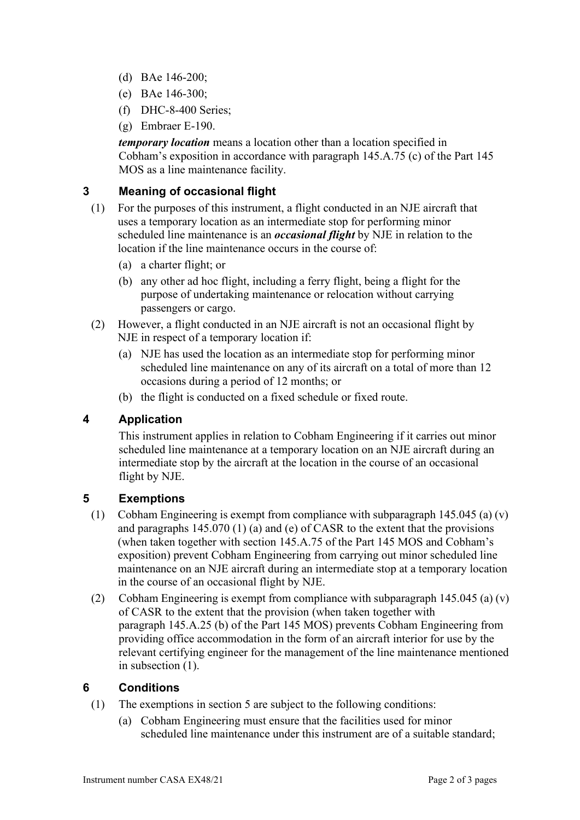- (d) BAe 146-200;
- (e) BAe 146-300;
- (f) DHC-8-400 Series;
- (g) Embraer E-190.

*temporary location* means a location other than a location specified in Cobham's exposition in accordance with paragraph 145.A.75 (c) of the Part 145 MOS as a line maintenance facility.

## **3 Meaning of occasional flight**

- (1) For the purposes of this instrument, a flight conducted in an NJE aircraft that uses a temporary location as an intermediate stop for performing minor scheduled line maintenance is an *occasional flight* by NJE in relation to the location if the line maintenance occurs in the course of:
	- (a) a charter flight; or
	- (b) any other ad hoc flight, including a ferry flight, being a flight for the purpose of undertaking maintenance or relocation without carrying passengers or cargo.
- (2) However, a flight conducted in an NJE aircraft is not an occasional flight by NJE in respect of a temporary location if:
	- (a) NJE has used the location as an intermediate stop for performing minor scheduled line maintenance on any of its aircraft on a total of more than 12 occasions during a period of 12 months; or
	- (b) the flight is conducted on a fixed schedule or fixed route.

# **4 Application**

This instrument applies in relation to Cobham Engineering if it carries out minor scheduled line maintenance at a temporary location on an NJE aircraft during an intermediate stop by the aircraft at the location in the course of an occasional flight by NJE.

## **5 Exemptions**

- (1) Cobham Engineering is exempt from compliance with subparagraph 145.045 (a) (v) and paragraphs 145.070 (1) (a) and (e) of CASR to the extent that the provisions (when taken together with section 145.A.75 of the Part 145 MOS and Cobham's exposition) prevent Cobham Engineering from carrying out minor scheduled line maintenance on an NJE aircraft during an intermediate stop at a temporary location in the course of an occasional flight by NJE.
- (2) Cobham Engineering is exempt from compliance with subparagraph 145.045 (a) (v) of CASR to the extent that the provision (when taken together with paragraph 145.A.25 (b) of the Part 145 MOS) prevents Cobham Engineering from providing office accommodation in the form of an aircraft interior for use by the relevant certifying engineer for the management of the line maintenance mentioned in subsection (1).

# **6 Conditions**

- (1) The exemptions in section 5 are subject to the following conditions:
	- (a) Cobham Engineering must ensure that the facilities used for minor scheduled line maintenance under this instrument are of a suitable standard;